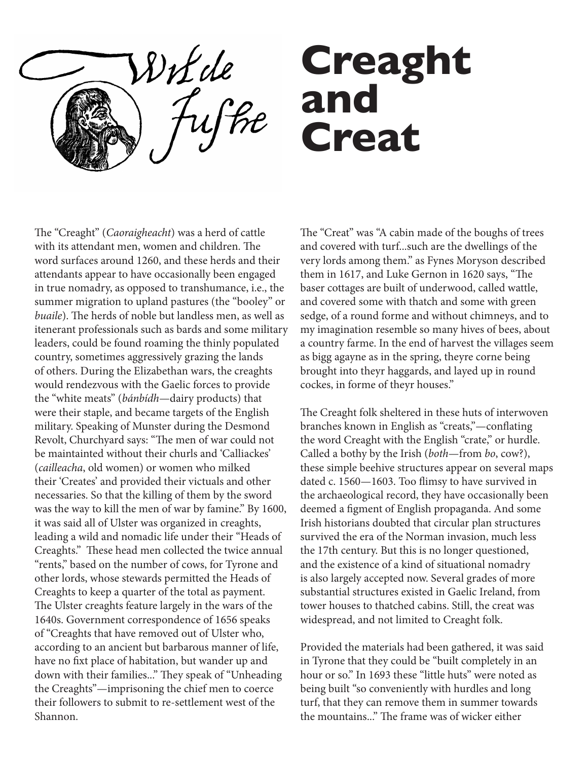DiL de

## **Creaght and Creat**

The "Creaght" (*Caoraigheacht*) was a herd of cattle with its attendant men, women and children. The word surfaces around 1260, and these herds and their attendants appear to have occasionally been engaged in true nomadry, as opposed to transhumance, i.e., the summer migration to upland pastures (the "booley" or *buaile*). The herds of noble but landless men, as well as itenerant professionals such as bards and some military leaders, could be found roaming the thinly populated country, sometimes aggressively grazing the lands of others. During the Elizabethan wars, the creaghts would rendezvous with the Gaelic forces to provide the "white meats" (*bánbídh*—dairy products) that were their staple, and became targets of the English military. Speaking of Munster during the Desmond Revolt, Churchyard says: "The men of war could not be maintainted without their churls and 'Calliackes' (*cailleacha*, old women) or women who milked their 'Creates' and provided their victuals and other necessaries. So that the killing of them by the sword was the way to kill the men of war by famine." By 1600, it was said all of Ulster was organized in creaghts, leading a wild and nomadic life under their "Heads of Creaghts." These head men collected the twice annual "rents," based on the number of cows, for Tyrone and other lords, whose stewards permitted the Heads of Creaghts to keep a quarter of the total as payment. The Ulster creaghts feature largely in the wars of the 1640s. Government correspondence of 1656 speaks of "Creaghts that have removed out of Ulster who, according to an ancient but barbarous manner of life, have no fixt place of habitation, but wander up and down with their families..." They speak of "Unheading the Creaghts"—imprisoning the chief men to coerce their followers to submit to re-settlement west of the Shannon.

The "Creat" was "A cabin made of the boughs of trees and covered with turf...such are the dwellings of the very lords among them." as Fynes Moryson described them in 1617, and Luke Gernon in 1620 says, "The baser cottages are built of underwood, called wattle, and covered some with thatch and some with green sedge, of a round forme and without chimneys, and to my imagination resemble so many hives of bees, about a country farme. In the end of harvest the villages seem as bigg agayne as in the spring, theyre corne being brought into theyr haggards, and layed up in round cockes, in forme of theyr houses."

The Creaght folk sheltered in these huts of interwoven branches known in English as "creats,"—conflating the word Creaght with the English "crate," or hurdle. Called a bothy by the Irish (*both*—from *bo*, cow?), these simple beehive structures appear on several maps dated c. 1560—1603. Too flimsy to have survived in the archaeological record, they have occasionally been deemed a figment of English propaganda. And some Irish historians doubted that circular plan structures survived the era of the Norman invasion, much less the 17th century. But this is no longer questioned, and the existence of a kind of situational nomadry is also largely accepted now. Several grades of more substantial structures existed in Gaelic Ireland, from tower houses to thatched cabins. Still, the creat was widespread, and not limited to Creaght folk.

Provided the materials had been gathered, it was said in Tyrone that they could be "built completely in an hour or so." In 1693 these "little huts" were noted as being built "so conveniently with hurdles and long turf, that they can remove them in summer towards the mountains..." The frame was of wicker either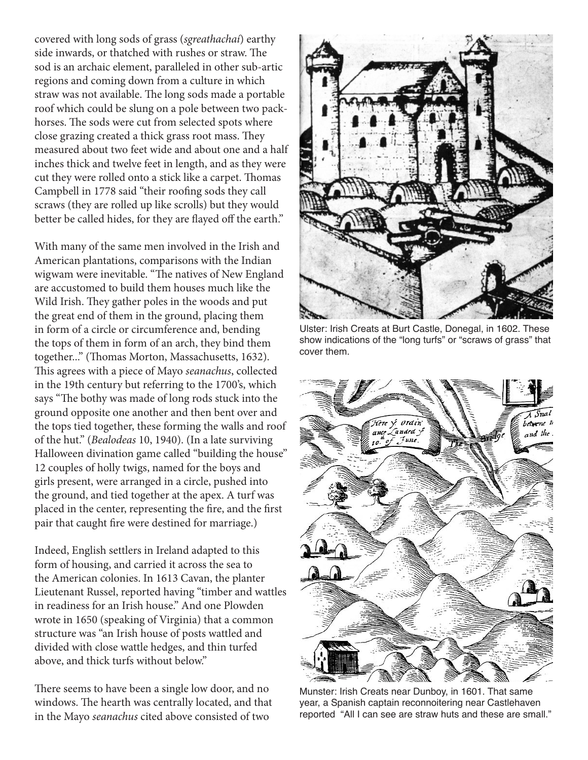covered with long sods of grass (*sgreathachaí*) earthy side inwards, or thatched with rushes or straw. The sod is an archaic element, paralleled in other sub-artic regions and coming down from a culture in which straw was not available. The long sods made a portable roof which could be slung on a pole between two packhorses. The sods were cut from selected spots where close grazing created a thick grass root mass. They measured about two feet wide and about one and a half inches thick and twelve feet in length, and as they were cut they were rolled onto a stick like a carpet. Thomas Campbell in 1778 said "their roofing sods they call scraws (they are rolled up like scrolls) but they would better be called hides, for they are flayed off the earth."

With many of the same men involved in the Irish and American plantations, comparisons with the Indian wigwam were inevitable. "The natives of New England are accustomed to build them houses much like the Wild Irish. They gather poles in the woods and put the great end of them in the ground, placing them in form of a circle or circumference and, bending the tops of them in form of an arch, they bind them together..." (Thomas Morton, Massachusetts, 1632). This agrees with a piece of Mayo *seanachus*, collected in the 19th century but referring to the 1700's, which says "The bothy was made of long rods stuck into the ground opposite one another and then bent over and the tops tied together, these forming the walls and roof of the hut." (*Bealodeas* 10, 1940). (In a late surviving Halloween divination game called "building the house" 12 couples of holly twigs, named for the boys and girls present, were arranged in a circle, pushed into the ground, and tied together at the apex. A turf was placed in the center, representing the fire, and the first pair that caught fire were destined for marriage.)

Indeed, English settlers in Ireland adapted to this form of housing, and carried it across the sea to the American colonies. In 1613 Cavan, the planter Lieutenant Russel, reported having "timber and wattles in readiness for an Irish house." And one Plowden wrote in 1650 (speaking of Virginia) that a common structure was "an Irish house of posts wattled and divided with close wattle hedges, and thin turfed above, and thick turfs without below."

There seems to have been a single low door, and no windows. The hearth was centrally located, and that in the Mayo *seanachus* cited above consisted of two



Ulster: Irish Creats at Burt Castle, Donegal, in 1602. These show indications of the "long turfs" or "scraws of grass" that cover them.



Munster: Irish Creats near Dunboy, in 1601. That same year, a Spanish captain reconnoitering near Castlehaven reported "All I can see are straw huts and these are small."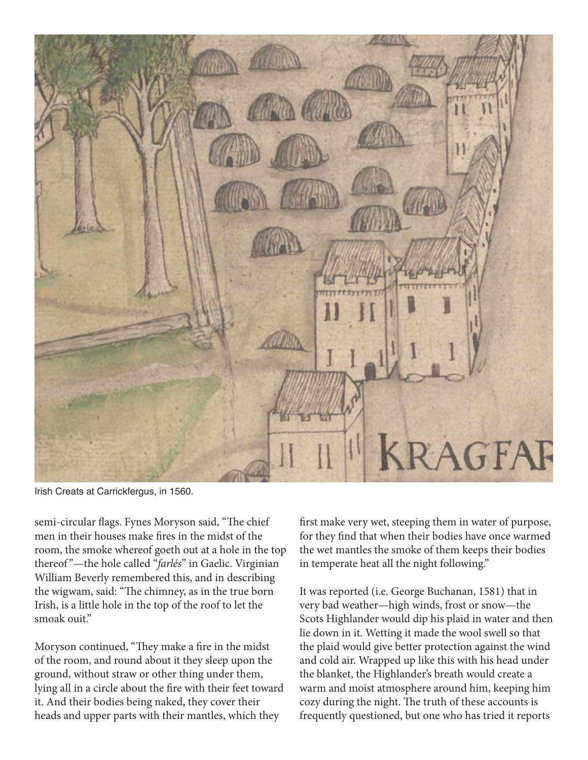

Irish Creats at Carrickfergus, in 1560.

semi-circular flags. Fynes Moryson said, "The chief men in their houses make fires in the midst of the room, the smoke whereof goeth out at a hole in the top thereof "—the hole called "*farlés*" in Gaelic. Virginian William Beverly remembered this, and in describing the wigwam, said: "The chimney, as in the true born Irish, is a little hole in the top of the roof to let the smoak ouit."

Moryson continued, "They make a fire in the midst of the room, and round about it they sleep upon the ground, without straw or other thing under them, lying all in a circle about the fire with their feet toward it. And their bodies being naked, they cover their heads and upper parts with their mantles, which they

first make very wet, steeping them in water of purpose, for they find that when their bodies have once warmed the wet mantles the smoke of them keeps their bodies in temperate heat all the night following."

It was reported (i.e. George Buchanan, 1581) that in very bad weather—high winds, frost or snow—the Scots Highlander would dip his plaid in water and then lie down in it. Wetting it made the wool swell so that the plaid would give better protection against the wind and cold air. Wrapped up like this with his head under the blanket, the Highlander's breath would create a warm and moist atmosphere around him, keeping him cozy during the night. The truth of these accounts is frequently questioned, but one who has tried it reports